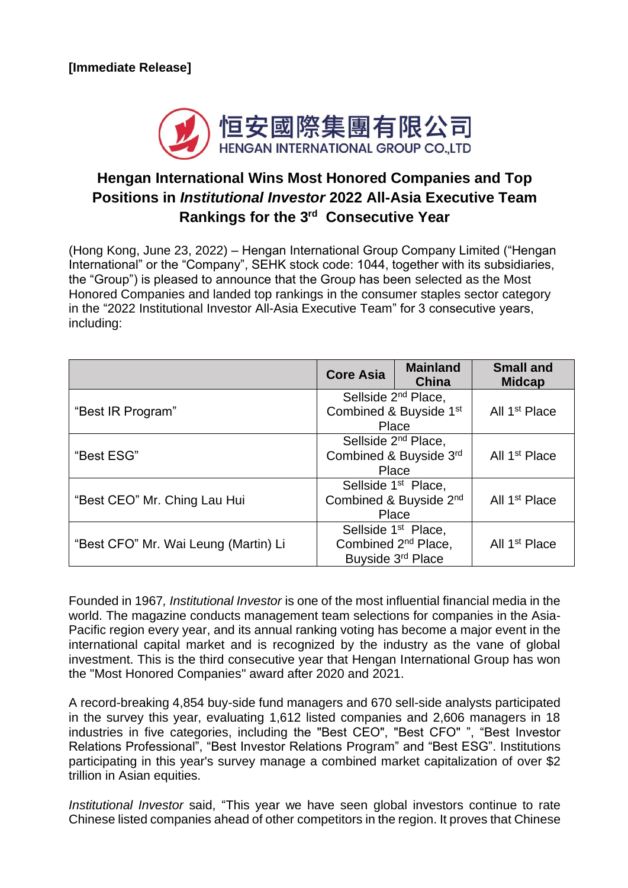

## **Hengan International Wins Most Honored Companies and Top Positions in** *Institutional Investor* **2022 All-Asia Executive Team Rankings for the 3 rd Consecutive Year**

(Hong Kong, June 23, 2022) – Hengan International Group Company Limited ("Hengan International" or the "Company", SEHK stock code: 1044, together with its subsidiaries, the "Group") is pleased to announce that the Group has been selected as the Most Honored Companies and landed top rankings in the consumer staples sector category in the "2022 Institutional Investor All-Asia Executive Team" for 3 consecutive years, including:

|                                      | <b>Core Asia</b>                                                                        | <b>Mainland</b><br><b>China</b> | <b>Small and</b><br><b>Midcap</b> |
|--------------------------------------|-----------------------------------------------------------------------------------------|---------------------------------|-----------------------------------|
| "Best IR Program"                    | Sellside 2 <sup>nd</sup> Place,<br>Combined & Buyside 1st<br>Place                      |                                 | All 1 <sup>st</sup> Place         |
| "Best ESG"                           | Sellside 2 <sup>nd</sup> Place,<br>Combined & Buyside 3rd<br>Place                      |                                 | All 1 <sup>st</sup> Place         |
| "Best CEO" Mr. Ching Lau Hui         | Sellside 1 <sup>st</sup> Place,<br>Combined & Buyside 2nd<br>Place                      |                                 | All 1 <sup>st</sup> Place         |
| "Best CFO" Mr. Wai Leung (Martin) Li | Sellside 1 <sup>st</sup> Place,<br>Combined 2 <sup>nd</sup> Place,<br>Buyside 3rd Place |                                 | All 1 <sup>st</sup> Place         |

Founded in 1967*, Institutional Investor* is one of the most influential financial media in the world. The magazine conducts management team selections for companies in the Asia-Pacific region every year, and its annual ranking voting has become a major event in the international capital market and is recognized by the industry as the vane of global investment. This is the third consecutive year that Hengan International Group has won the "Most Honored Companies" award after 2020 and 2021.

A record-breaking 4,854 buy-side fund managers and 670 sell-side analysts participated in the survey this year, evaluating 1,612 listed companies and 2,606 managers in 18 industries in five categories, including the "Best CEO", "Best CFO" ", "Best Investor Relations Professional", "Best Investor Relations Program" and "Best ESG". Institutions participating in this year's survey manage a combined market capitalization of over \$2 trillion in Asian equities.

*Institutional Investor* said, "This year we have seen global investors continue to rate Chinese listed companies ahead of other competitors in the region. It proves that Chinese